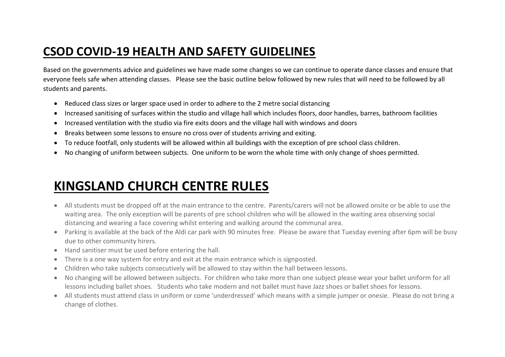## **CSOD COVID-19 HEALTH AND SAFETY GUIDELINES**

Based on the governments advice and guidelines we have made some changes so we can continue to operate dance classes and ensure that everyone feels safe when attending classes. Please see the basic outline below followed by new rules that will need to be followed by all students and parents.

- Reduced class sizes or larger space used in order to adhere to the 2 metre social distancing
- Increased sanitising of surfaces within the studio and village hall which includes floors, door handles, barres, bathroom facilities
- Increased ventilation with the studio via fire exits doors and the village hall with windows and doors
- Breaks between some lessons to ensure no cross over of students arriving and exiting.
- To reduce footfall, only students will be allowed within all buildings with the exception of pre school class children.
- No changing of uniform between subjects. One uniform to be worn the whole time with only change of shoes permitted.

## **KINGSLAND CHURCH CENTRE RULES**

- All students must be dropped off at the main entrance to the centre. Parents/carers will not be allowed onsite or be able to use the waiting area. The only exception will be parents of pre school children who will be allowed in the waiting area observing social distancing and wearing a face covering whilst entering and walking around the communal area.
- Parking is available at the back of the Aldi car park with 90 minutes free. Please be aware that Tuesday evening after 6pm will be busy due to other community hirers.
- Hand sanitiser must be used before entering the hall.
- There is a one way system for entry and exit at the main entrance which is signposted.
- Children who take subjects consecutively will be allowed to stay within the hall between lessons.
- No changing will be allowed between subjects. For children who take more than one subject please wear your ballet uniform for all lessons including ballet shoes. Students who take modern and not ballet must have Jazz shoes or ballet shoes for lessons.
- All students must attend class in uniform or come 'underdressed' which means with a simple jumper or onesie. Please do not bring a change of clothes.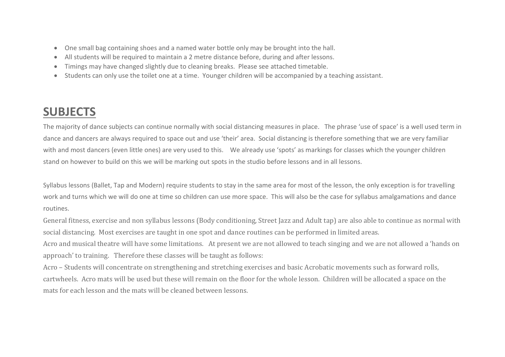- One small bag containing shoes and a named water bottle only may be brought into the hall.
- All students will be required to maintain a 2 metre distance before, during and after lessons.
- Timings may have changed slightly due to cleaning breaks. Please see attached timetable.
- Students can only use the toilet one at a time. Younger children will be accompanied by a teaching assistant.

## **SUBJECTS**

The majority of dance subjects can continue normally with social distancing measures in place. The phrase 'use of space' is a well used term in dance and dancers are always required to space out and use 'their' area. Social distancing is therefore something that we are very familiar with and most dancers (even little ones) are very used to this. We already use 'spots' as markings for classes which the younger children stand on however to build on this we will be marking out spots in the studio before lessons and in all lessons.

Syllabus lessons (Ballet, Tap and Modern) require students to stay in the same area for most of the lesson, the only exception is for travelling work and turns which we will do one at time so children can use more space. This will also be the case for syllabus amalgamations and dance routines.

General fitness, exercise and non syllabus lessons (Body conditioning, Street Jazz and Adult tap) are also able to continue as normal with social distancing. Most exercises are taught in one spot and dance routines can be performed in limited areas.

Acro and musical theatre will have some limitations. At present we are not allowed to teach singing and we are not allowed a 'hands on approach' to training. Therefore these classes will be taught as follows:

Acro – Students will concentrate on strengthening and stretching exercises and basic Acrobatic movements such as forward rolls, cartwheels. Acro mats will be used but these will remain on the floor for the whole lesson. Children will be allocated a space on the mats for each lesson and the mats will be cleaned between lessons.